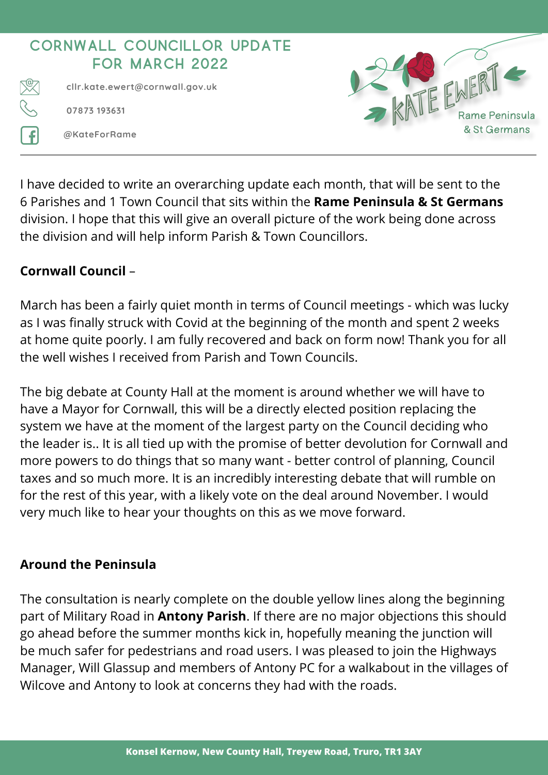

I have decided to write an overarching update each month, that will be sent to the 6 Parishes and 1 Town Council that sits within the **Rame Peninsula & St Germans** division. I hope that this will give an overall picture of the work being done across the division and will help inform Parish & Town Councillors.

## **Cornwall Council** –

March has been a fairly quiet month in terms of Council meetings - which was lucky as I was finally struck with Covid at the beginning of the month and spent 2 weeks at home quite poorly. I am fully recovered and back on form now! Thank you for all the well wishes I received from Parish and Town Councils.

The big debate at County Hall at the moment is around whether we will have to have a Mayor for Cornwall, this will be a directly elected position replacing the system we have at the moment of the largest party on the Council deciding who the leader is.. It is all tied up with the promise of better devolution for Cornwall and more powers to do things that so many want - better control of planning, Council taxes and so much more. It is an incredibly interesting debate that will rumble on for the rest of this year, with a likely vote on the deal around November. I would very much like to hear your thoughts on this as we move forward.

## **Around the Peninsula**

The consultation is nearly complete on the double yellow lines along the beginning part of Military Road in **Antony Parish**. If there are no major objections this should go ahead before the summer months kick in, hopefully meaning the junction will be much safer for pedestrians and road users. I was pleased to join the Highways Manager, Will Glassup and members of Antony PC for a walkabout in the villages of Wilcove and Antony to look at concerns they had with the roads.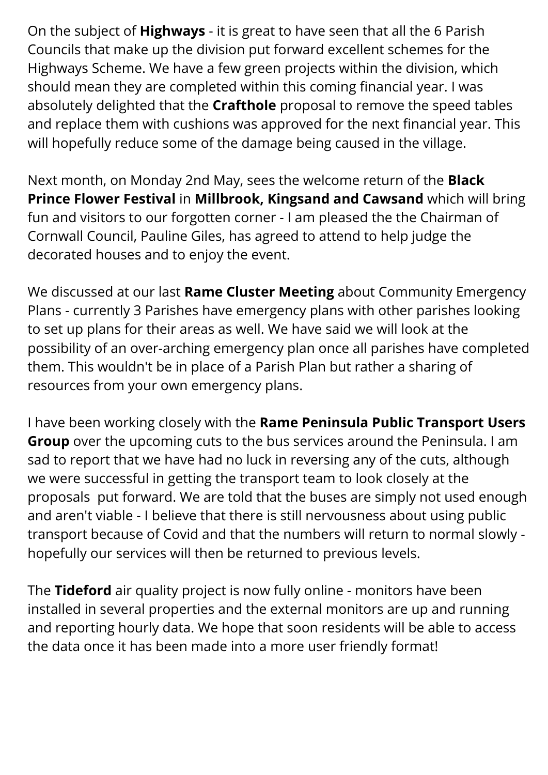On the subject of **Highways** - it is great to have seen that all the 6 Parish Councils that make up the division put forward excellent schemes for the Highways Scheme. We have a few green projects within the division, which should mean they are completed within this coming financial year. I was absolutely delighted that the **Crafthole** proposal to remove the speed tables and replace them with cushions was approved for the next financial year. This will hopefully reduce some of the damage being caused in the village.

Next month, on Monday 2nd May, sees the welcome return of the **Black Prince Flower Festival** in **Millbrook, Kingsand and Cawsand** which will bring fun and visitors to our forgotten corner - I am pleased the the Chairman of Cornwall Council, Pauline Giles, has agreed to attend to help judge the decorated houses and to enjoy the event.

We discussed at our last **Rame Cluster Meeting** about Community Emergency Plans - currently 3 Parishes have emergency plans with other parishes looking to set up plans for their areas as well. We have said we will look at the possibility of an over-arching emergency plan once all parishes have completed them. This wouldn't be in place of a Parish Plan but rather a sharing of resources from your own emergency plans.

I have been working closely with the **Rame Peninsula Public Transport Users Group** over the upcoming cuts to the bus services around the Peninsula. I am sad to report that we have had no luck in reversing any of the cuts, although we were successful in getting the transport team to look closely at the proposals put forward. We are told that the buses are simply not used enough and aren't viable - I believe that there is still nervousness about using public transport because of Covid and that the numbers will return to normal slowly hopefully our services will then be returned to previous levels.

The **Tideford** air quality project is now fully online - monitors have been installed in several properties and the external monitors are up and running and reporting hourly data. We hope that soon residents will be able to access the data once it has been made into a more user friendly format!